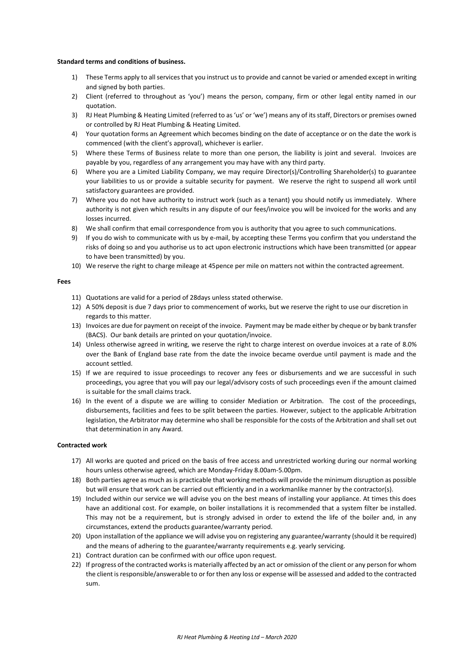### **Standard terms and conditions of business.**

- 1) These Terms apply to all services that you instruct us to provide and cannot be varied or amended except in writing and signed by both parties.
- 2) Client (referred to throughout as 'you') means the person, company, firm or other legal entity named in our quotation.
- 3) RJ Heat Plumbing & Heating Limited (referred to as 'us' or 'we') means any of its staff, Directors or premises owned or controlled by RJ Heat Plumbing & Heating Limited.
- 4) Your quotation forms an Agreement which becomes binding on the date of acceptance or on the date the work is commenced (with the client's approval), whichever is earlier.
- 5) Where these Terms of Business relate to more than one person, the liability is joint and several. Invoices are payable by you, regardless of any arrangement you may have with any third party.
- 6) Where you are a Limited Liability Company, we may require Director(s)/Controlling Shareholder(s) to guarantee your liabilities to us or provide a suitable security for payment. We reserve the right to suspend all work until satisfactory guarantees are provided.
- 7) Where you do not have authority to instruct work (such as a tenant) you should notify us immediately. Where authority is not given which results in any dispute of our fees/invoice you will be invoiced for the works and any losses incurred.
- 8) We shall confirm that email correspondence from you is authority that you agree to such communications.
- 9) If you do wish to communicate with us by e-mail, by accepting these Terms you confirm that you understand the risks of doing so and you authorise us to act upon electronic instructions which have been transmitted (or appear to have been transmitted) by you.
- 10) We reserve the right to charge mileage at 45pence per mile on matters not within the contracted agreement.

# **Fees**

- 11) Quotations are valid for a period of 28days unless stated otherwise.
- 12) A 50% deposit is due 7 days prior to commencement of works, but we reserve the right to use our discretion in regards to this matter.
- 13) Invoices are due for payment on receipt of the invoice. Payment may be made either by cheque or by bank transfer (BACS). Our bank details are printed on your quotation/invoice.
- 14) Unless otherwise agreed in writing, we reserve the right to charge interest on overdue invoices at a rate of 8.0% over the Bank of England base rate from the date the invoice became overdue until payment is made and the account settled.
- 15) If we are required to issue proceedings to recover any fees or disbursements and we are successful in such proceedings, you agree that you will pay our legal/advisory costs of such proceedings even if the amount claimed is suitable for the small claims track.
- 16) In the event of a dispute we are willing to consider Mediation or Arbitration. The cost of the proceedings, disbursements, facilities and fees to be split between the parties. However, subject to the applicable Arbitration legislation, the Arbitrator may determine who shall be responsible for the costs of the Arbitration and shall set out that determination in any Award.

#### **Contracted work**

- 17) All works are quoted and priced on the basis of free access and unrestricted working during our normal working hours unless otherwise agreed, which are Monday-Friday 8.00am-5.00pm.
- 18) Both parties agree as much as is practicable that working methods will provide the minimum disruption as possible but will ensure that work can be carried out efficiently and in a workmanlike manner by the contractor(s).
- 19) Included within our service we will advise you on the best means of installing your appliance. At times this does have an additional cost. For example, on boiler installations it is recommended that a system filter be installed. This may not be a requirement, but is strongly advised in order to extend the life of the boiler and, in any circumstances, extend the products guarantee/warranty period.
- 20) Upon installation of the appliance we will advise you on registering any guarantee/warranty (should it be required) and the means of adhering to the guarantee/warranty requirements e.g. yearly servicing.
- 21) Contract duration can be confirmed with our office upon request.
- 22) If progress of the contracted works is materially affected by an act or omission of the client or any person for whom the client is responsible/answerable to or for then any loss or expense will be assessed and added to the contracted sum.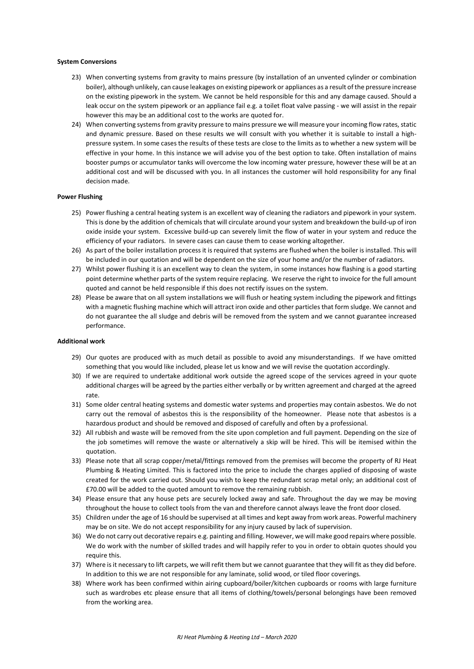# **System Conversions**

- 23) When converting systems from gravity to mains pressure (by installation of an unvented cylinder or combination boiler), although unlikely, can cause leakages on existing pipework or appliances as a result of the pressure increase on the existing pipework in the system. We cannot be held responsible for this and any damage caused. Should a leak occur on the system pipework or an appliance fail e.g. a toilet float valve passing - we will assist in the repair however this may be an additional cost to the works are quoted for.
- 24) When converting systems from gravity pressure to mains pressure we will measure your incoming flow rates, static and dynamic pressure. Based on these results we will consult with you whether it is suitable to install a highpressure system. In some cases the results of these tests are close to the limits as to whether a new system will be effective in your home. In this instance we will advise you of the best option to take. Often installation of mains booster pumps or accumulator tanks will overcome the low incoming water pressure, however these will be at an additional cost and will be discussed with you. In all instances the customer will hold responsibility for any final decision made.

# **Power Flushing**

- 25) Power flushing a central heating system is an excellent way of cleaning the radiators and pipework in your system. This is done by the addition of chemicals that will circulate around your system and breakdown the build-up of iron oxide inside your system. Excessive build-up can severely limit the flow of water in your system and reduce the efficiency of your radiators. In severe cases can cause them to cease working altogether.
- 26) As part of the boiler installation process it is required that systems are flushed when the boiler is installed. This will be included in our quotation and will be dependent on the size of your home and/or the number of radiators.
- 27) Whilst power flushing it is an excellent way to clean the system, in some instances how flashing is a good starting point determine whether parts of the system require replacing. We reserve the right to invoice for the full amount quoted and cannot be held responsible if this does not rectify issues on the system.
- 28) Please be aware that on all system installations we will flush or heating system including the pipework and fittings with a magnetic flushing machine which will attract iron oxide and other particles that form sludge. We cannot and do not guarantee the all sludge and debris will be removed from the system and we cannot guarantee increased performance.

### **Additional work**

- 29) Our quotes are produced with as much detail as possible to avoid any misunderstandings. If we have omitted something that you would like included, please let us know and we will revise the quotation accordingly.
- 30) If we are required to undertake additional work outside the agreed scope of the services agreed in your quote additional charges will be agreed by the parties either verbally or by written agreement and charged at the agreed rate.
- 31) Some older central heating systems and domestic water systems and properties may contain asbestos. We do not carry out the removal of asbestos this is the responsibility of the homeowner. Please note that asbestos is a hazardous product and should be removed and disposed of carefully and often by a professional.
- 32) All rubbish and waste will be removed from the site upon completion and full payment. Depending on the size of the job sometimes will remove the waste or alternatively a skip will be hired. This will be itemised within the quotation.
- 33) Please note that all scrap copper/metal/fittings removed from the premises will become the property of RJ Heat Plumbing & Heating Limited. This is factored into the price to include the charges applied of disposing of waste created for the work carried out. Should you wish to keep the redundant scrap metal only; an additional cost of £70.00 will be added to the quoted amount to remove the remaining rubbish.
- 34) Please ensure that any house pets are securely locked away and safe. Throughout the day we may be moving throughout the house to collect tools from the van and therefore cannot always leave the front door closed.
- 35) Children under the age of 16 should be supervised at all times and kept away from work areas. Powerful machinery may be on site. We do not accept responsibility for any injury caused by lack of supervision.
- 36) We do not carry out decorative repairs e.g. painting and filling. However, we will make good repairs where possible. We do work with the number of skilled trades and will happily refer to you in order to obtain quotes should you require this.
- 37) Where is it necessary to lift carpets, we will refit them but we cannot guarantee that they will fit as they did before. In addition to this we are not responsible for any laminate, solid wood, or tiled floor coverings.
- 38) Where work has been confirmed within airing cupboard/boiler/kitchen cupboards or rooms with large furniture such as wardrobes etc please ensure that all items of clothing/towels/personal belongings have been removed from the working area.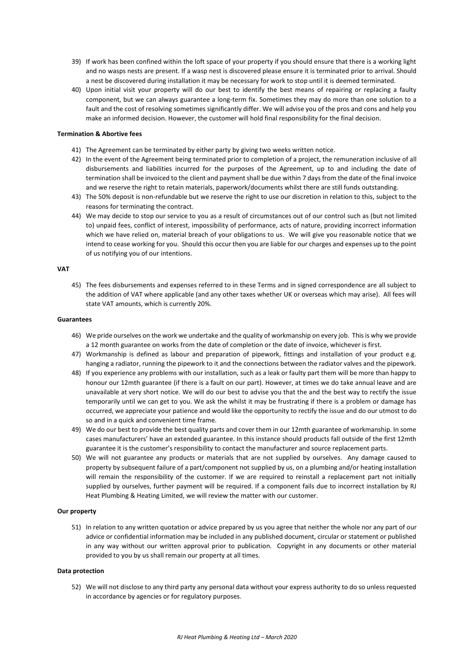- 39) If work has been confined within the loft space of your property if you should ensure that there is a working light and no wasps nests are present. If a wasp nest is discovered please ensure it is terminated prior to arrival. Should a nest be discovered during installation it may be necessary for work to stop until it is deemed terminated.
- 40) Upon initial visit your property will do our best to identify the best means of repairing or replacing a faulty component, but we can always guarantee a long-term fix. Sometimes they may do more than one solution to a fault and the cost of resolving sometimes significantly differ. We will advise you of the pros and cons and help you make an informed decision. However, the customer will hold final responsibility for the final decision.

# **Termination & Abortive fees**

- 41) The Agreement can be terminated by either party by giving two weeks written notice.
- 42) In the event of the Agreement being terminated prior to completion of a project, the remuneration inclusive of all disbursements and liabilities incurred for the purposes of the Agreement, up to and including the date of termination shall be invoiced to the client and payment shall be due within 7 days from the date of the final invoice and we reserve the right to retain materials, paperwork/documents whilst there are still funds outstanding.
- 43) The 50% deposit is non-refundable but we reserve the right to use our discretion in relation to this, subject to the reasons for terminating the contract.
- 44) We may decide to stop our service to you as a result of circumstances out of our control such as (but not limited to) unpaid fees, conflict of interest, impossibility of performance, acts of nature, providing incorrect information which we have relied on, material breach of your obligations to us. We will give you reasonable notice that we intend to cease working for you. Should this occur then you are liable for our charges and expenses up to the point of us notifying you of our intentions.

### **VAT**

45) The fees disbursements and expenses referred to in these Terms and in signed correspondence are all subject to the addition of VAT where applicable (and any other taxes whether UK or overseas which may arise). All fees will state VAT amounts, which is currently 20%.

# **Guarantees**

- 46) We pride ourselves on the work we undertake and the quality of workmanship on every job. This is why we provide a 12 month guarantee on works from the date of completion or the date of invoice, whichever is first.
- 47) Workmanship is defined as labour and preparation of pipework, fittings and installation of your product e.g. hanging a radiator, running the pipework to it and the connections between the radiator valves and the pipework.
- 48) If you experience any problems with our installation, such as a leak or faulty part them will be more than happy to honour our 12mth guarantee (if there is a fault on our part). However, at times we do take annual leave and are unavailable at very short notice. We will do our best to advise you that the and the best way to rectify the issue temporarily until we can get to you. We ask the whilst it may be frustrating if there is a problem or damage has occurred, we appreciate your patience and would like the opportunity to rectify the issue and do our utmost to do so and in a quick and convenient time frame.
- 49) We do our best to provide the best quality parts and cover them in our 12mth guarantee of workmanship. In some cases manufacturers' have an extended guarantee. In this instance should products fall outside of the first 12mth guarantee it is the customer's responsibility to contact the manufacturer and source replacement parts.
- 50) We will not guarantee any products or materials that are not supplied by ourselves. Any damage caused to property by subsequent failure of a part/component not supplied by us, on a plumbing and/or heating installation will remain the responsibility of the customer. If we are required to reinstall a replacement part not initially supplied by ourselves, further payment will be required. If a component fails due to incorrect installation by RJ Heat Plumbing & Heating Limited, we will review the matter with our customer.

## **Our property**

51) In relation to any written quotation or advice prepared by us you agree that neither the whole nor any part of our advice or confidential information may be included in any published document, circular or statement or published in any way without our written approval prior to publication. Copyright in any documents or other material provided to you by us shall remain our property at all times.

#### **Data protection**

52) We will not disclose to any third party any personal data without your express authority to do so unless requested in accordance by agencies or for regulatory purposes.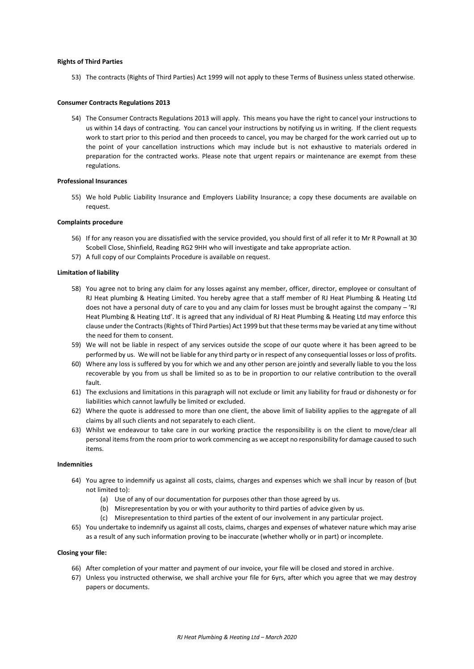### **Rights of Third Parties**

53) The contracts (Rights of Third Parties) Act 1999 will not apply to these Terms of Business unless stated otherwise.

# **Consumer Contracts Regulations 2013**

54) The Consumer Contracts Regulations 2013 will apply. This means you have the right to cancel your instructions to us within 14 days of contracting. You can cancel your instructions by notifying us in writing. If the client requests work to start prior to this period and then proceeds to cancel, you may be charged for the work carried out up to the point of your cancellation instructions which may include but is not exhaustive to materials ordered in preparation for the contracted works. Please note that urgent repairs or maintenance are exempt from these regulations.

# **Professional Insurances**

55) We hold Public Liability Insurance and Employers Liability Insurance; a copy these documents are available on request.

### **Complaints procedure**

- 56) If for any reason you are dissatisfied with the service provided, you should first of all refer it to Mr R Pownall at 30 Scobell Close, Shinfield, Reading RG2 9HH who will investigate and take appropriate action.
- 57) A full copy of our Complaints Procedure is available on request.

# **Limitation of liability**

- 58) You agree not to bring any claim for any losses against any member, officer, director, employee or consultant of RJ Heat plumbing & Heating Limited. You hereby agree that a staff member of RJ Heat Plumbing & Heating Ltd does not have a personal duty of care to you and any claim for losses must be brought against the company - 'RJ Heat Plumbing & Heating Ltd'. It is agreed that any individual of RJ Heat Plumbing & Heating Ltd may enforce this clause under the Contracts (Rights of Third Parties) Act 1999 but that these terms may be varied at any time without the need for them to consent.
- 59) We will not be liable in respect of any services outside the scope of our quote where it has been agreed to be performed by us. We will not be liable for any third party or in respect of any consequential losses or loss of profits.
- 60) Where any loss is suffered by you for which we and any other person are jointly and severally liable to you the loss recoverable by you from us shall be limited so as to be in proportion to our relative contribution to the overall fault.
- 61) The exclusions and limitations in this paragraph will not exclude or limit any liability for fraud or dishonesty or for liabilities which cannot lawfully be limited or excluded.
- 62) Where the quote is addressed to more than one client, the above limit of liability applies to the aggregate of all claims by all such clients and not separately to each client.
- 63) Whilst we endeavour to take care in our working practice the responsibility is on the client to move/clear all personal items from the room prior to work commencing as we accept no responsibility for damage caused to such items.

# **Indemnities**

- 64) You agree to indemnify us against all costs, claims, charges and expenses which we shall incur by reason of (but not limited to):
	- (a) Use of any of our documentation for purposes other than those agreed by us.
	- (b) Misrepresentation by you or with your authority to third parties of advice given by us.
	- (c) Misrepresentation to third parties of the extent of our involvement in any particular project.
- 65) You undertake to indemnify us against all costs, claims, charges and expenses of whatever nature which may arise as a result of any such information proving to be inaccurate (whether wholly or in part) or incomplete.

### **Closing your file:**

- 66) After completion of your matter and payment of our invoice, your file will be closed and stored in archive.
- 67) Unless you instructed otherwise, we shall archive your file for 6yrs, after which you agree that we may destroy papers or documents.